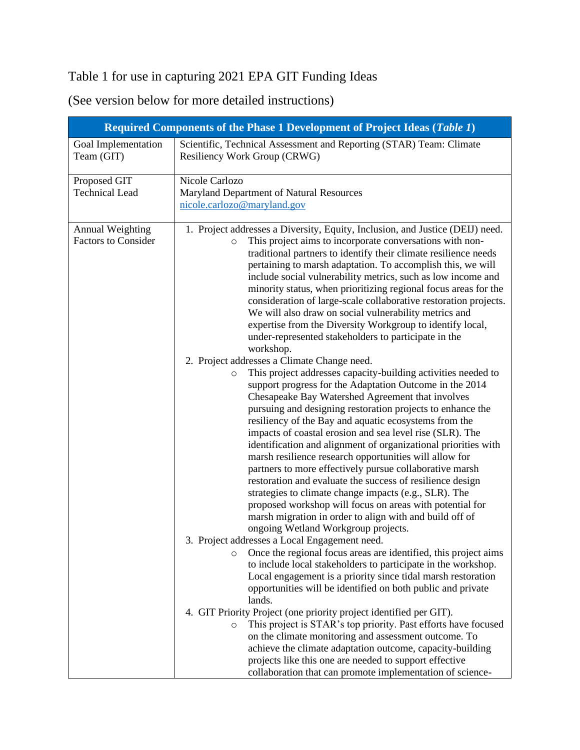## Table 1 for use in capturing 2021 EPA GIT Funding Ideas

(See version below for more detailed instructions)

| Required Components of the Phase 1 Development of Project Ideas (Table 1) |                                                                                                                                                                                                                                                                                                                                                                                                                                                                                                                                                                                                                                                                                                                                                                                                                                                                                                                                                                                                                                                                                                                                                                                                                                                                                                                                                                                                                                                                                                                                                                                                                                                                                                                                                                                                                                                                                                                                                                                                                                                                                                                                                                                                                                                                                                                              |  |  |
|---------------------------------------------------------------------------|------------------------------------------------------------------------------------------------------------------------------------------------------------------------------------------------------------------------------------------------------------------------------------------------------------------------------------------------------------------------------------------------------------------------------------------------------------------------------------------------------------------------------------------------------------------------------------------------------------------------------------------------------------------------------------------------------------------------------------------------------------------------------------------------------------------------------------------------------------------------------------------------------------------------------------------------------------------------------------------------------------------------------------------------------------------------------------------------------------------------------------------------------------------------------------------------------------------------------------------------------------------------------------------------------------------------------------------------------------------------------------------------------------------------------------------------------------------------------------------------------------------------------------------------------------------------------------------------------------------------------------------------------------------------------------------------------------------------------------------------------------------------------------------------------------------------------------------------------------------------------------------------------------------------------------------------------------------------------------------------------------------------------------------------------------------------------------------------------------------------------------------------------------------------------------------------------------------------------------------------------------------------------------------------------------------------------|--|--|
| Goal Implementation<br>Team (GIT)                                         | Scientific, Technical Assessment and Reporting (STAR) Team: Climate<br>Resiliency Work Group (CRWG)                                                                                                                                                                                                                                                                                                                                                                                                                                                                                                                                                                                                                                                                                                                                                                                                                                                                                                                                                                                                                                                                                                                                                                                                                                                                                                                                                                                                                                                                                                                                                                                                                                                                                                                                                                                                                                                                                                                                                                                                                                                                                                                                                                                                                          |  |  |
| Proposed GIT<br><b>Technical Lead</b>                                     | Nicole Carlozo<br>Maryland Department of Natural Resources<br>nicole.carlozo@maryland.gov                                                                                                                                                                                                                                                                                                                                                                                                                                                                                                                                                                                                                                                                                                                                                                                                                                                                                                                                                                                                                                                                                                                                                                                                                                                                                                                                                                                                                                                                                                                                                                                                                                                                                                                                                                                                                                                                                                                                                                                                                                                                                                                                                                                                                                    |  |  |
| <b>Annual Weighting</b><br><b>Factors to Consider</b>                     | 1. Project addresses a Diversity, Equity, Inclusion, and Justice (DEIJ) need.<br>This project aims to incorporate conversations with non-<br>$\circ$<br>traditional partners to identify their climate resilience needs<br>pertaining to marsh adaptation. To accomplish this, we will<br>include social vulnerability metrics, such as low income and<br>minority status, when prioritizing regional focus areas for the<br>consideration of large-scale collaborative restoration projects.<br>We will also draw on social vulnerability metrics and<br>expertise from the Diversity Workgroup to identify local,<br>under-represented stakeholders to participate in the<br>workshop.<br>2. Project addresses a Climate Change need.<br>This project addresses capacity-building activities needed to<br>O<br>support progress for the Adaptation Outcome in the 2014<br>Chesapeake Bay Watershed Agreement that involves<br>pursuing and designing restoration projects to enhance the<br>resiliency of the Bay and aquatic ecosystems from the<br>impacts of coastal erosion and sea level rise (SLR). The<br>identification and alignment of organizational priorities with<br>marsh resilience research opportunities will allow for<br>partners to more effectively pursue collaborative marsh<br>restoration and evaluate the success of resilience design<br>strategies to climate change impacts (e.g., SLR). The<br>proposed workshop will focus on areas with potential for<br>marsh migration in order to align with and build off of<br>ongoing Wetland Workgroup projects.<br>3. Project addresses a Local Engagement need.<br>Once the regional focus areas are identified, this project aims<br>O<br>to include local stakeholders to participate in the workshop.<br>Local engagement is a priority since tidal marsh restoration<br>opportunities will be identified on both public and private<br>lands.<br>4. GIT Priority Project (one priority project identified per GIT).<br>This project is STAR's top priority. Past efforts have focused<br>$\circ$<br>on the climate monitoring and assessment outcome. To<br>achieve the climate adaptation outcome, capacity-building<br>projects like this one are needed to support effective<br>collaboration that can promote implementation of science- |  |  |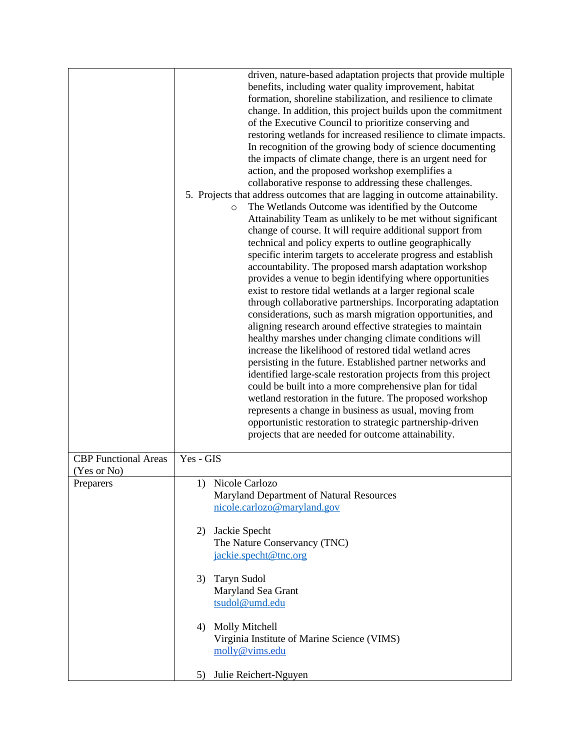|                             | driven, nature-based adaptation projects that provide multiple<br>benefits, including water quality improvement, habitat<br>formation, shoreline stabilization, and resilience to climate<br>change. In addition, this project builds upon the commitment<br>of the Executive Council to prioritize conserving and<br>restoring wetlands for increased resilience to climate impacts.<br>In recognition of the growing body of science documenting<br>the impacts of climate change, there is an urgent need for<br>action, and the proposed workshop exemplifies a<br>collaborative response to addressing these challenges.<br>5. Projects that address outcomes that are lagging in outcome attainability.<br>The Wetlands Outcome was identified by the Outcome<br>$\circ$<br>Attainability Team as unlikely to be met without significant<br>change of course. It will require additional support from<br>technical and policy experts to outline geographically<br>specific interim targets to accelerate progress and establish<br>accountability. The proposed marsh adaptation workshop<br>provides a venue to begin identifying where opportunities<br>exist to restore tidal wetlands at a larger regional scale<br>through collaborative partnerships. Incorporating adaptation<br>considerations, such as marsh migration opportunities, and<br>aligning research around effective strategies to maintain<br>healthy marshes under changing climate conditions will<br>increase the likelihood of restored tidal wetland acres<br>persisting in the future. Established partner networks and<br>identified large-scale restoration projects from this project<br>could be built into a more comprehensive plan for tidal<br>wetland restoration in the future. The proposed workshop<br>represents a change in business as usual, moving from<br>opportunistic restoration to strategic partnership-driven<br>projects that are needed for outcome attainability. |
|-----------------------------|--------------------------------------------------------------------------------------------------------------------------------------------------------------------------------------------------------------------------------------------------------------------------------------------------------------------------------------------------------------------------------------------------------------------------------------------------------------------------------------------------------------------------------------------------------------------------------------------------------------------------------------------------------------------------------------------------------------------------------------------------------------------------------------------------------------------------------------------------------------------------------------------------------------------------------------------------------------------------------------------------------------------------------------------------------------------------------------------------------------------------------------------------------------------------------------------------------------------------------------------------------------------------------------------------------------------------------------------------------------------------------------------------------------------------------------------------------------------------------------------------------------------------------------------------------------------------------------------------------------------------------------------------------------------------------------------------------------------------------------------------------------------------------------------------------------------------------------------------------------------------------------------------------------------------------------------------------------------------------|
| <b>CBP</b> Functional Areas | Yes - GIS                                                                                                                                                                                                                                                                                                                                                                                                                                                                                                                                                                                                                                                                                                                                                                                                                                                                                                                                                                                                                                                                                                                                                                                                                                                                                                                                                                                                                                                                                                                                                                                                                                                                                                                                                                                                                                                                                                                                                                      |
| (Yes or No)                 |                                                                                                                                                                                                                                                                                                                                                                                                                                                                                                                                                                                                                                                                                                                                                                                                                                                                                                                                                                                                                                                                                                                                                                                                                                                                                                                                                                                                                                                                                                                                                                                                                                                                                                                                                                                                                                                                                                                                                                                |
| Preparers                   | 1) Nicole Carlozo<br>Maryland Department of Natural Resources                                                                                                                                                                                                                                                                                                                                                                                                                                                                                                                                                                                                                                                                                                                                                                                                                                                                                                                                                                                                                                                                                                                                                                                                                                                                                                                                                                                                                                                                                                                                                                                                                                                                                                                                                                                                                                                                                                                  |
|                             | nicole.carlozo@maryland.gov                                                                                                                                                                                                                                                                                                                                                                                                                                                                                                                                                                                                                                                                                                                                                                                                                                                                                                                                                                                                                                                                                                                                                                                                                                                                                                                                                                                                                                                                                                                                                                                                                                                                                                                                                                                                                                                                                                                                                    |
|                             | Jackie Specht<br>2)                                                                                                                                                                                                                                                                                                                                                                                                                                                                                                                                                                                                                                                                                                                                                                                                                                                                                                                                                                                                                                                                                                                                                                                                                                                                                                                                                                                                                                                                                                                                                                                                                                                                                                                                                                                                                                                                                                                                                            |
|                             | The Nature Conservancy (TNC)                                                                                                                                                                                                                                                                                                                                                                                                                                                                                                                                                                                                                                                                                                                                                                                                                                                                                                                                                                                                                                                                                                                                                                                                                                                                                                                                                                                                                                                                                                                                                                                                                                                                                                                                                                                                                                                                                                                                                   |
|                             | jackie.specht@tnc.org                                                                                                                                                                                                                                                                                                                                                                                                                                                                                                                                                                                                                                                                                                                                                                                                                                                                                                                                                                                                                                                                                                                                                                                                                                                                                                                                                                                                                                                                                                                                                                                                                                                                                                                                                                                                                                                                                                                                                          |
|                             | <b>Taryn Sudol</b><br>3)                                                                                                                                                                                                                                                                                                                                                                                                                                                                                                                                                                                                                                                                                                                                                                                                                                                                                                                                                                                                                                                                                                                                                                                                                                                                                                                                                                                                                                                                                                                                                                                                                                                                                                                                                                                                                                                                                                                                                       |
|                             | Maryland Sea Grant<br>tsudol@umd.edu                                                                                                                                                                                                                                                                                                                                                                                                                                                                                                                                                                                                                                                                                                                                                                                                                                                                                                                                                                                                                                                                                                                                                                                                                                                                                                                                                                                                                                                                                                                                                                                                                                                                                                                                                                                                                                                                                                                                           |
|                             |                                                                                                                                                                                                                                                                                                                                                                                                                                                                                                                                                                                                                                                                                                                                                                                                                                                                                                                                                                                                                                                                                                                                                                                                                                                                                                                                                                                                                                                                                                                                                                                                                                                                                                                                                                                                                                                                                                                                                                                |
|                             | 4) Molly Mitchell                                                                                                                                                                                                                                                                                                                                                                                                                                                                                                                                                                                                                                                                                                                                                                                                                                                                                                                                                                                                                                                                                                                                                                                                                                                                                                                                                                                                                                                                                                                                                                                                                                                                                                                                                                                                                                                                                                                                                              |
|                             | Virginia Institute of Marine Science (VIMS)<br>molly@vims.edu                                                                                                                                                                                                                                                                                                                                                                                                                                                                                                                                                                                                                                                                                                                                                                                                                                                                                                                                                                                                                                                                                                                                                                                                                                                                                                                                                                                                                                                                                                                                                                                                                                                                                                                                                                                                                                                                                                                  |
|                             | Julie Reichert-Nguyen<br>5)                                                                                                                                                                                                                                                                                                                                                                                                                                                                                                                                                                                                                                                                                                                                                                                                                                                                                                                                                                                                                                                                                                                                                                                                                                                                                                                                                                                                                                                                                                                                                                                                                                                                                                                                                                                                                                                                                                                                                    |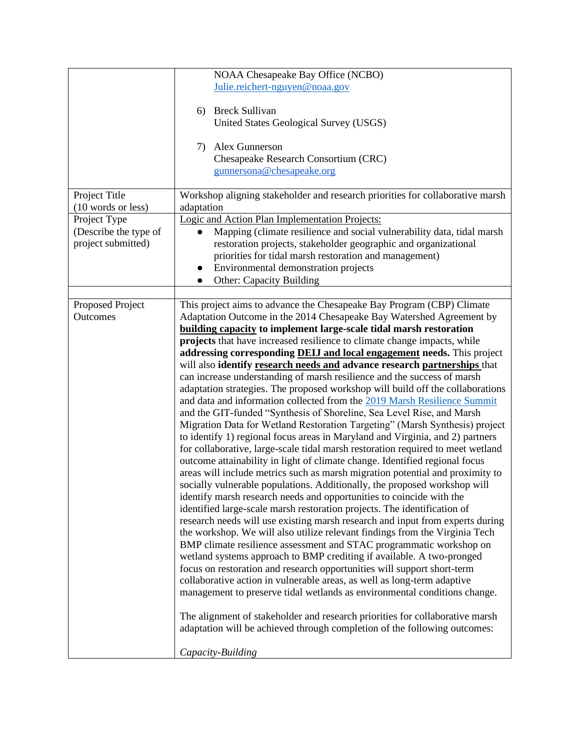|                       | NOAA Chesapeake Bay Office (NCBO)                                                                                                                                                                                                                                                                      |  |  |
|-----------------------|--------------------------------------------------------------------------------------------------------------------------------------------------------------------------------------------------------------------------------------------------------------------------------------------------------|--|--|
|                       | Julie.reichert-nguyen@noaa.gov                                                                                                                                                                                                                                                                         |  |  |
|                       |                                                                                                                                                                                                                                                                                                        |  |  |
|                       | <b>Breck Sullivan</b><br>6)                                                                                                                                                                                                                                                                            |  |  |
|                       | United States Geological Survey (USGS)                                                                                                                                                                                                                                                                 |  |  |
|                       |                                                                                                                                                                                                                                                                                                        |  |  |
|                       | Alex Gunnerson<br>7)                                                                                                                                                                                                                                                                                   |  |  |
|                       | Chesapeake Research Consortium (CRC)                                                                                                                                                                                                                                                                   |  |  |
|                       | gunnersona@chesapeake.org                                                                                                                                                                                                                                                                              |  |  |
|                       |                                                                                                                                                                                                                                                                                                        |  |  |
| Project Title         | Workshop aligning stakeholder and research priorities for collaborative marsh                                                                                                                                                                                                                          |  |  |
| (10 words or less)    | adaptation                                                                                                                                                                                                                                                                                             |  |  |
| Project Type          |                                                                                                                                                                                                                                                                                                        |  |  |
| (Describe the type of | Logic and Action Plan Implementation Projects:<br>Mapping (climate resilience and social vulnerability data, tidal marsh                                                                                                                                                                               |  |  |
| project submitted)    |                                                                                                                                                                                                                                                                                                        |  |  |
|                       | restoration projects, stakeholder geographic and organizational                                                                                                                                                                                                                                        |  |  |
|                       | priorities for tidal marsh restoration and management)                                                                                                                                                                                                                                                 |  |  |
|                       | Environmental demonstration projects<br>$\bullet$                                                                                                                                                                                                                                                      |  |  |
|                       | <b>Other: Capacity Building</b><br>$\bullet$                                                                                                                                                                                                                                                           |  |  |
|                       |                                                                                                                                                                                                                                                                                                        |  |  |
| Proposed Project      | This project aims to advance the Chesapeake Bay Program (CBP) Climate                                                                                                                                                                                                                                  |  |  |
| Outcomes              | Adaptation Outcome in the 2014 Chesapeake Bay Watershed Agreement by                                                                                                                                                                                                                                   |  |  |
|                       | <b>building capacity to implement large-scale tidal marsh restoration</b>                                                                                                                                                                                                                              |  |  |
|                       | projects that have increased resilience to climate change impacts, while                                                                                                                                                                                                                               |  |  |
|                       | addressing corresponding <b>DEIJ</b> and local engagement needs. This project                                                                                                                                                                                                                          |  |  |
|                       | will also identify research needs and advance research partnerships that                                                                                                                                                                                                                               |  |  |
|                       | can increase understanding of marsh resilience and the success of marsh                                                                                                                                                                                                                                |  |  |
|                       | adaptation strategies. The proposed workshop will build off the collaborations                                                                                                                                                                                                                         |  |  |
|                       | and data and information collected from the 2019 Marsh Resilience Summit                                                                                                                                                                                                                               |  |  |
|                       | and the GIT-funded "Synthesis of Shoreline, Sea Level Rise, and Marsh                                                                                                                                                                                                                                  |  |  |
|                       | Migration Data for Wetland Restoration Targeting" (Marsh Synthesis) project                                                                                                                                                                                                                            |  |  |
|                       | to identify 1) regional focus areas in Maryland and Virginia, and 2) partners                                                                                                                                                                                                                          |  |  |
|                       | for collaborative, large-scale tidal marsh restoration required to meet wetland                                                                                                                                                                                                                        |  |  |
|                       | outcome attainability in light of climate change. Identified regional focus                                                                                                                                                                                                                            |  |  |
|                       | areas will include metrics such as marsh migration potential and proximity to                                                                                                                                                                                                                          |  |  |
|                       | socially vulnerable populations. Additionally, the proposed workshop will                                                                                                                                                                                                                              |  |  |
|                       | identify marsh research needs and opportunities to coincide with the                                                                                                                                                                                                                                   |  |  |
|                       | identified large-scale marsh restoration projects. The identification of                                                                                                                                                                                                                               |  |  |
|                       | research needs will use existing marsh research and input from experts during                                                                                                                                                                                                                          |  |  |
|                       | the workshop. We will also utilize relevant findings from the Virginia Tech<br>BMP climate resilience assessment and STAC programmatic workshop on<br>wetland systems approach to BMP crediting if available. A two-pronged<br>focus on restoration and research opportunities will support short-term |  |  |
|                       |                                                                                                                                                                                                                                                                                                        |  |  |
|                       |                                                                                                                                                                                                                                                                                                        |  |  |
|                       |                                                                                                                                                                                                                                                                                                        |  |  |
|                       | collaborative action in vulnerable areas, as well as long-term adaptive                                                                                                                                                                                                                                |  |  |
|                       |                                                                                                                                                                                                                                                                                                        |  |  |
|                       | management to preserve tidal wetlands as environmental conditions change.                                                                                                                                                                                                                              |  |  |
|                       |                                                                                                                                                                                                                                                                                                        |  |  |
|                       | The alignment of stakeholder and research priorities for collaborative marsh                                                                                                                                                                                                                           |  |  |
|                       | adaptation will be achieved through completion of the following outcomes:                                                                                                                                                                                                                              |  |  |
|                       | Capacity-Building                                                                                                                                                                                                                                                                                      |  |  |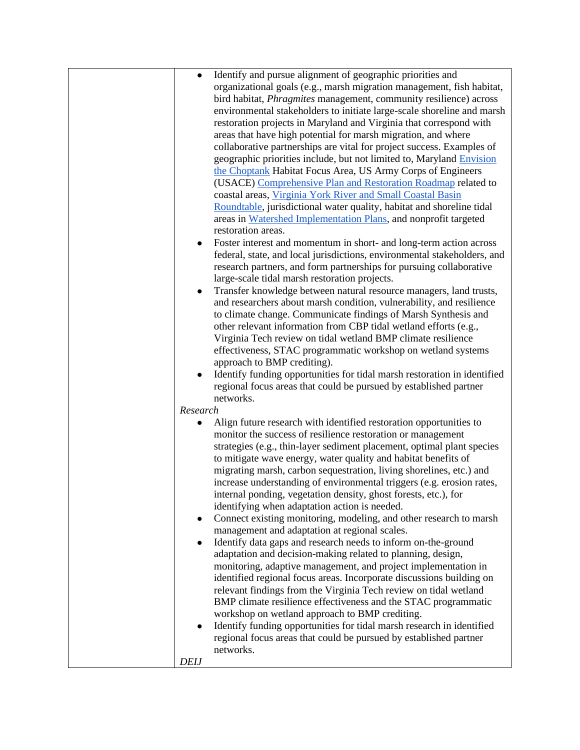| $\bullet$                | Identify and pursue alignment of geographic priorities and<br>organizational goals (e.g., marsh migration management, fish habitat,<br>bird habitat, <i>Phragmites</i> management, community resilience) across<br>environmental stakeholders to initiate large-scale shoreline and marsh<br>restoration projects in Maryland and Virginia that correspond with                                                                                                                                                                                   |
|--------------------------|---------------------------------------------------------------------------------------------------------------------------------------------------------------------------------------------------------------------------------------------------------------------------------------------------------------------------------------------------------------------------------------------------------------------------------------------------------------------------------------------------------------------------------------------------|
|                          | areas that have high potential for marsh migration, and where<br>collaborative partnerships are vital for project success. Examples of<br>geographic priorities include, but not limited to, Maryland Envision<br>the Choptank Habitat Focus Area, US Army Corps of Engineers<br>(USACE) Comprehensive Plan and Restoration Roadmap related to                                                                                                                                                                                                    |
| ٠                        | coastal areas, Virginia York River and Small Coastal Basin<br>Roundtable, jurisdictional water quality, habitat and shoreline tidal<br>areas in Watershed Implementation Plans, and nonprofit targeted<br>restoration areas.<br>Foster interest and momentum in short- and long-term action across                                                                                                                                                                                                                                                |
| $\bullet$                | federal, state, and local jurisdictions, environmental stakeholders, and<br>research partners, and form partnerships for pursuing collaborative<br>large-scale tidal marsh restoration projects.<br>Transfer knowledge between natural resource managers, land trusts,<br>and researchers about marsh condition, vulnerability, and resilience                                                                                                                                                                                                    |
|                          | to climate change. Communicate findings of Marsh Synthesis and<br>other relevant information from CBP tidal wetland efforts (e.g.,<br>Virginia Tech review on tidal wetland BMP climate resilience<br>effectiveness, STAC programmatic workshop on wetland systems<br>approach to BMP crediting).                                                                                                                                                                                                                                                 |
| Research                 | Identify funding opportunities for tidal marsh restoration in identified<br>regional focus areas that could be pursued by established partner<br>networks.                                                                                                                                                                                                                                                                                                                                                                                        |
|                          | Align future research with identified restoration opportunities to<br>monitor the success of resilience restoration or management<br>strategies (e.g., thin-layer sediment placement, optimal plant species<br>to mitigate wave energy, water quality and habitat benefits of<br>migrating marsh, carbon sequestration, living shorelines, etc.) and<br>increase understanding of environmental triggers (e.g. erosion rates,<br>internal ponding, vegetation density, ghost forests, etc.), for<br>identifying when adaptation action is needed. |
|                          | Connect existing monitoring, modeling, and other research to marsh<br>management and adaptation at regional scales.<br>Identify data gaps and research needs to inform on-the-ground<br>adaptation and decision-making related to planning, design,<br>monitoring, adaptive management, and project implementation in<br>identified regional focus areas. Incorporate discussions building on<br>relevant findings from the Virginia Tech review on tidal wetland<br>BMP climate resilience effectiveness and the STAC programmatic               |
| $\bullet$<br><b>DEIJ</b> | workshop on wetland approach to BMP crediting.<br>Identify funding opportunities for tidal marsh research in identified<br>regional focus areas that could be pursued by established partner<br>networks.                                                                                                                                                                                                                                                                                                                                         |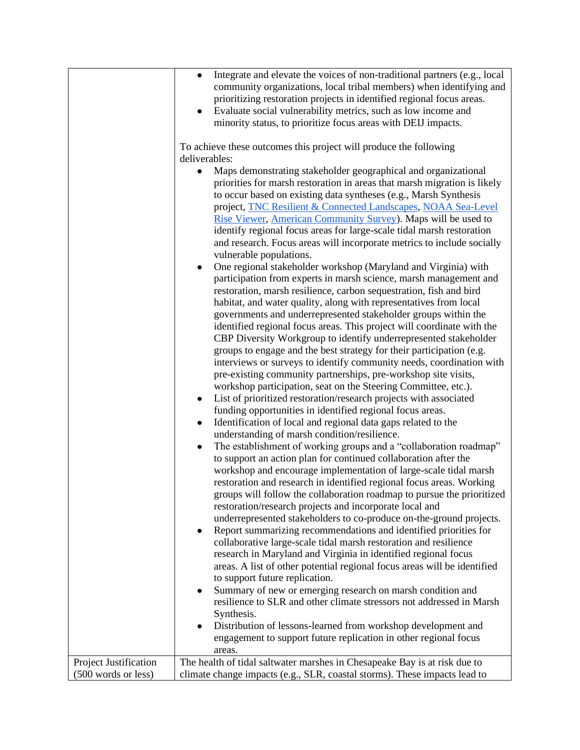|                       | Integrate and elevate the voices of non-traditional partners (e.g., local<br>$\bullet$                                                       |  |
|-----------------------|----------------------------------------------------------------------------------------------------------------------------------------------|--|
|                       | community organizations, local tribal members) when identifying and                                                                          |  |
|                       | prioritizing restoration projects in identified regional focus areas.                                                                        |  |
|                       | Evaluate social vulnerability metrics, such as low income and                                                                                |  |
|                       | minority status, to prioritize focus areas with DEIJ impacts.                                                                                |  |
|                       |                                                                                                                                              |  |
|                       | To achieve these outcomes this project will produce the following                                                                            |  |
|                       | deliverables:                                                                                                                                |  |
|                       | Maps demonstrating stakeholder geographical and organizational                                                                               |  |
|                       | priorities for marsh restoration in areas that marsh migration is likely<br>to occur based on existing data syntheses (e.g., Marsh Synthesis |  |
|                       | project, TNC Resilient & Connected Landscapes, NOAA Sea-Level                                                                                |  |
|                       | Rise Viewer, American Community Survey). Maps will be used to                                                                                |  |
|                       | identify regional focus areas for large-scale tidal marsh restoration                                                                        |  |
|                       | and research. Focus areas will incorporate metrics to include socially<br>vulnerable populations.                                            |  |
|                       | One regional stakeholder workshop (Maryland and Virginia) with                                                                               |  |
|                       | $\bullet$<br>participation from experts in marsh science, marsh management and                                                               |  |
|                       | restoration, marsh resilience, carbon sequestration, fish and bird                                                                           |  |
|                       | habitat, and water quality, along with representatives from local                                                                            |  |
|                       | governments and underrepresented stakeholder groups within the                                                                               |  |
|                       | identified regional focus areas. This project will coordinate with the                                                                       |  |
|                       | CBP Diversity Workgroup to identify underrepresented stakeholder                                                                             |  |
|                       | groups to engage and the best strategy for their participation (e.g.                                                                         |  |
|                       | interviews or surveys to identify community needs, coordination with                                                                         |  |
|                       | pre-existing community partnerships, pre-workshop site visits,                                                                               |  |
|                       | workshop participation, seat on the Steering Committee, etc.).                                                                               |  |
|                       | List of prioritized restoration/research projects with associated<br>$\bullet$                                                               |  |
|                       | funding opportunities in identified regional focus areas.                                                                                    |  |
|                       | Identification of local and regional data gaps related to the<br>$\bullet$                                                                   |  |
|                       | understanding of marsh condition/resilience.                                                                                                 |  |
|                       | The establishment of working groups and a "collaboration roadmap"<br>$\bullet$                                                               |  |
|                       | to support an action plan for continued collaboration after the                                                                              |  |
|                       | workshop and encourage implementation of large-scale tidal marsh                                                                             |  |
|                       | restoration and research in identified regional focus areas. Working                                                                         |  |
|                       | groups will follow the collaboration roadmap to pursue the prioritized                                                                       |  |
|                       | restoration/research projects and incorporate local and                                                                                      |  |
|                       | underrepresented stakeholders to co-produce on-the-ground projects.                                                                          |  |
|                       | Report summarizing recommendations and identified priorities for<br>$\bullet$                                                                |  |
|                       | collaborative large-scale tidal marsh restoration and resilience                                                                             |  |
|                       | research in Maryland and Virginia in identified regional focus                                                                               |  |
|                       | areas. A list of other potential regional focus areas will be identified                                                                     |  |
|                       | to support future replication.                                                                                                               |  |
|                       | Summary of new or emerging research on marsh condition and<br>$\bullet$                                                                      |  |
|                       | resilience to SLR and other climate stressors not addressed in Marsh                                                                         |  |
|                       | Synthesis.                                                                                                                                   |  |
|                       | Distribution of lessons-learned from workshop development and<br>$\bullet$                                                                   |  |
|                       | engagement to support future replication in other regional focus<br>areas.                                                                   |  |
| Project Justification | The health of tidal saltwater marshes in Chesapeake Bay is at risk due to                                                                    |  |
| (500 words or less)   | climate change impacts (e.g., SLR, coastal storms). These impacts lead to                                                                    |  |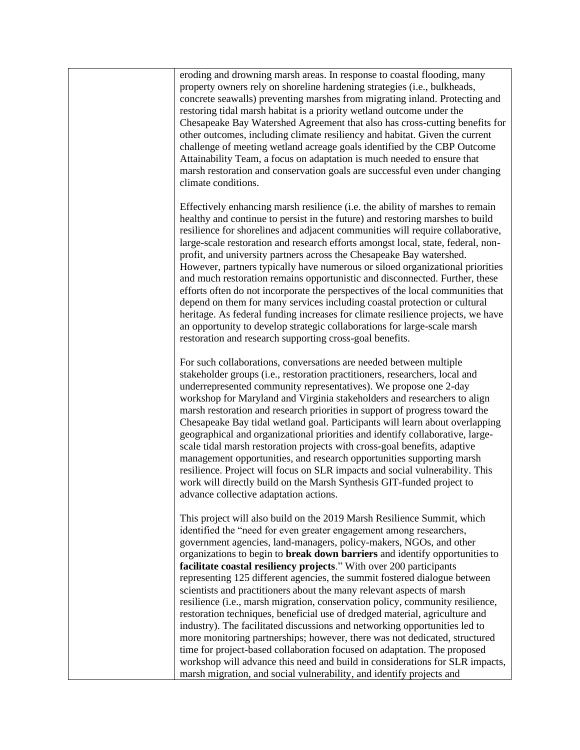eroding and drowning marsh areas. In response to coastal flooding, many property owners rely on shoreline hardening strategies (i.e., bulkheads, concrete seawalls) preventing marshes from migrating inland. Protecting and restoring tidal marsh habitat is a priority wetland outcome under the Chesapeake Bay Watershed Agreement that also has cross-cutting benefits for other outcomes, including climate resiliency and habitat. Given the current challenge of meeting wetland acreage goals identified by the CBP Outcome Attainability Team, a focus on adaptation is much needed to ensure that marsh restoration and conservation goals are successful even under changing climate conditions.

Effectively enhancing marsh resilience (i.e. the ability of marshes to remain healthy and continue to persist in the future) and restoring marshes to build resilience for shorelines and adjacent communities will require collaborative, large-scale restoration and research efforts amongst local, state, federal, nonprofit, and university partners across the Chesapeake Bay watershed. However, partners typically have numerous or siloed organizational priorities and much restoration remains opportunistic and disconnected. Further, these efforts often do not incorporate the perspectives of the local communities that depend on them for many services including coastal protection or cultural heritage. As federal funding increases for climate resilience projects, we have an opportunity to develop strategic collaborations for large-scale marsh restoration and research supporting cross-goal benefits.

For such collaborations, conversations are needed between multiple stakeholder groups (i.e., restoration practitioners, researchers, local and underrepresented community representatives). We propose one 2-day workshop for Maryland and Virginia stakeholders and researchers to align marsh restoration and research priorities in support of progress toward the Chesapeake Bay tidal wetland goal. Participants will learn about overlapping geographical and organizational priorities and identify collaborative, largescale tidal marsh restoration projects with cross-goal benefits, adaptive management opportunities, and research opportunities supporting marsh resilience. Project will focus on SLR impacts and social vulnerability. This work will directly build on the Marsh Synthesis GIT-funded project to advance collective adaptation actions.

This project will also build on the 2019 Marsh Resilience Summit, which identified the "need for even greater engagement among researchers, government agencies, land-managers, policy-makers, NGOs, and other organizations to begin to **break down barriers** and identify opportunities to **facilitate coastal resiliency projects**." With over 200 participants representing 125 different agencies, the summit fostered dialogue between scientists and practitioners about the many relevant aspects of marsh resilience (i.e., marsh migration, conservation policy, community resilience, restoration techniques, beneficial use of dredged material, agriculture and industry). The facilitated discussions and networking opportunities led to more monitoring partnerships; however, there was not dedicated, structured time for project-based collaboration focused on adaptation. The proposed workshop will advance this need and build in considerations for SLR impacts, marsh migration, and social vulnerability, and identify projects and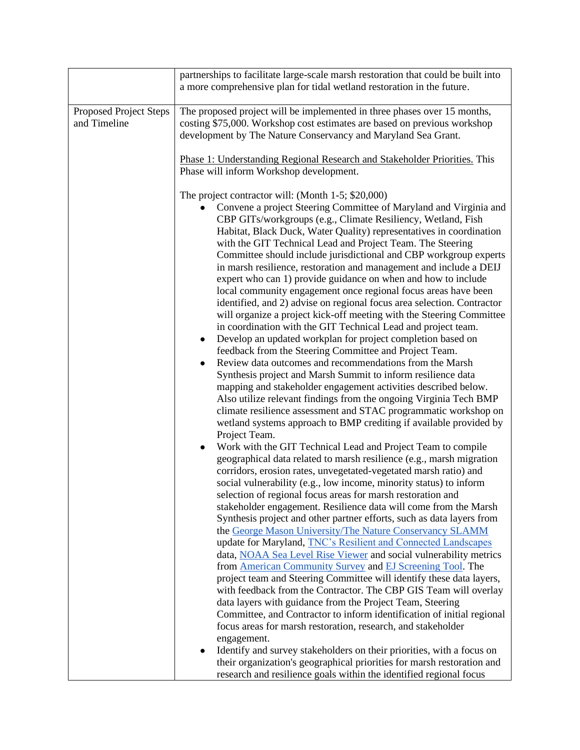|                                        | partnerships to facilitate large-scale marsh restoration that could be built into<br>a more comprehensive plan for tidal wetland restoration in the future.                                                                                                                                                                                                                                                                                                                                                                                                                                                                                                                                                                                                                                                                                                                                                                                                                                                                                                                                                                                                                                                                                                                                                                                                                                                                                                                                                                                                                                                                                                                                                                                                                                                                                                                                                                                                                                                                                                                                                                                                                                                                                                                                                                                                                                                                                                                                                                                                                                                                                                                                                                            |  |
|----------------------------------------|----------------------------------------------------------------------------------------------------------------------------------------------------------------------------------------------------------------------------------------------------------------------------------------------------------------------------------------------------------------------------------------------------------------------------------------------------------------------------------------------------------------------------------------------------------------------------------------------------------------------------------------------------------------------------------------------------------------------------------------------------------------------------------------------------------------------------------------------------------------------------------------------------------------------------------------------------------------------------------------------------------------------------------------------------------------------------------------------------------------------------------------------------------------------------------------------------------------------------------------------------------------------------------------------------------------------------------------------------------------------------------------------------------------------------------------------------------------------------------------------------------------------------------------------------------------------------------------------------------------------------------------------------------------------------------------------------------------------------------------------------------------------------------------------------------------------------------------------------------------------------------------------------------------------------------------------------------------------------------------------------------------------------------------------------------------------------------------------------------------------------------------------------------------------------------------------------------------------------------------------------------------------------------------------------------------------------------------------------------------------------------------------------------------------------------------------------------------------------------------------------------------------------------------------------------------------------------------------------------------------------------------------------------------------------------------------------------------------------------------|--|
| Proposed Project Steps<br>and Timeline | The proposed project will be implemented in three phases over 15 months,<br>costing \$75,000. Workshop cost estimates are based on previous workshop<br>development by The Nature Conservancy and Maryland Sea Grant.                                                                                                                                                                                                                                                                                                                                                                                                                                                                                                                                                                                                                                                                                                                                                                                                                                                                                                                                                                                                                                                                                                                                                                                                                                                                                                                                                                                                                                                                                                                                                                                                                                                                                                                                                                                                                                                                                                                                                                                                                                                                                                                                                                                                                                                                                                                                                                                                                                                                                                                  |  |
|                                        | Phase 1: Understanding Regional Research and Stakeholder Priorities. This<br>Phase will inform Workshop development.                                                                                                                                                                                                                                                                                                                                                                                                                                                                                                                                                                                                                                                                                                                                                                                                                                                                                                                                                                                                                                                                                                                                                                                                                                                                                                                                                                                                                                                                                                                                                                                                                                                                                                                                                                                                                                                                                                                                                                                                                                                                                                                                                                                                                                                                                                                                                                                                                                                                                                                                                                                                                   |  |
|                                        | The project contractor will: (Month 1-5; \$20,000)<br>Convene a project Steering Committee of Maryland and Virginia and<br>CBP GITs/workgroups (e.g., Climate Resiliency, Wetland, Fish<br>Habitat, Black Duck, Water Quality) representatives in coordination<br>with the GIT Technical Lead and Project Team. The Steering<br>Committee should include jurisdictional and CBP workgroup experts<br>in marsh resilience, restoration and management and include a DEIJ<br>expert who can 1) provide guidance on when and how to include<br>local community engagement once regional focus areas have been<br>identified, and 2) advise on regional focus area selection. Contractor<br>will organize a project kick-off meeting with the Steering Committee<br>in coordination with the GIT Technical Lead and project team.<br>Develop an updated workplan for project completion based on<br>$\bullet$<br>feedback from the Steering Committee and Project Team.<br>Review data outcomes and recommendations from the Marsh<br>$\bullet$<br>Synthesis project and Marsh Summit to inform resilience data<br>mapping and stakeholder engagement activities described below.<br>Also utilize relevant findings from the ongoing Virginia Tech BMP<br>climate resilience assessment and STAC programmatic workshop on<br>wetland systems approach to BMP crediting if available provided by<br>Project Team.<br>Work with the GIT Technical Lead and Project Team to compile<br>$\bullet$<br>geographical data related to marsh resilience (e.g., marsh migration<br>corridors, erosion rates, unvegetated-vegetated marsh ratio) and<br>social vulnerability (e.g., low income, minority status) to inform<br>selection of regional focus areas for marsh restoration and<br>stakeholder engagement. Resilience data will come from the Marsh<br>Synthesis project and other partner efforts, such as data layers from<br>the George Mason University/The Nature Conservancy SLAMM<br>update for Maryland, <b>TNC's Resilient and Connected Landscapes</b><br>data, NOAA Sea Level Rise Viewer and social vulnerability metrics<br>from <b>American Community Survey</b> and EJ Screening Tool. The<br>project team and Steering Committee will identify these data layers,<br>with feedback from the Contractor. The CBP GIS Team will overlay<br>data layers with guidance from the Project Team, Steering<br>Committee, and Contractor to inform identification of initial regional<br>focus areas for marsh restoration, research, and stakeholder<br>engagement.<br>Identify and survey stakeholders on their priorities, with a focus on<br>$\bullet$<br>their organization's geographical priorities for marsh restoration and |  |
|                                        | research and resilience goals within the identified regional focus                                                                                                                                                                                                                                                                                                                                                                                                                                                                                                                                                                                                                                                                                                                                                                                                                                                                                                                                                                                                                                                                                                                                                                                                                                                                                                                                                                                                                                                                                                                                                                                                                                                                                                                                                                                                                                                                                                                                                                                                                                                                                                                                                                                                                                                                                                                                                                                                                                                                                                                                                                                                                                                                     |  |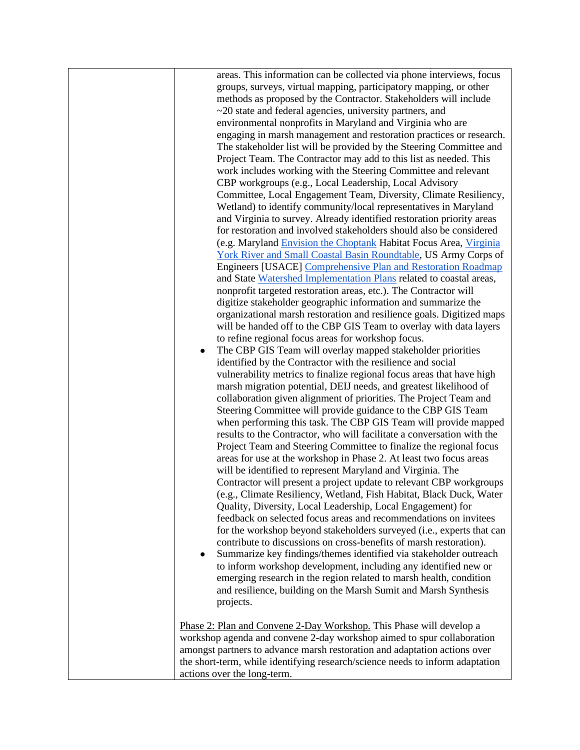areas. This information can be collected via phone interviews, focus groups, surveys, virtual mapping, participatory mapping, or other methods as proposed by the Contractor. Stakeholders will include ~20 state and federal agencies, university partners, and environmental nonprofits in Maryland and Virginia who are engaging in marsh management and restoration practices or research. The stakeholder list will be provided by the Steering Committee and Project Team. The Contractor may add to this list as needed. This work includes working with the Steering Committee and relevant CBP workgroups (e.g., Local Leadership, Local Advisory Committee, Local Engagement Team, Diversity, Climate Resiliency, Wetland) to identify community/local representatives in Maryland and Virginia to survey. Already identified restoration priority areas for restoration and involved stakeholders should also be considered (e.g. Maryland [Envision the Choptank](https://www.envisionthechoptank.org/) Habitat Focus Area, [Virginia](https://www.vims.edu/cbnerr/roundtable/index.php)  [York River and Small Coastal Basin Roundtable,](https://www.vims.edu/cbnerr/roundtable/index.php) US Army Corps of Engineers [USACE] [Comprehensive Plan and Restoration Roadmap](https://www.nab.usace.army.mil/Missions/Civil-Works/chesapeake-bay-comprehensive-plan/) and State [Watershed Implementation Plans](https://www.chesapeakebay.net/what/programs/watershed_implementation) related to coastal areas, nonprofit targeted restoration areas, etc.). The Contractor will digitize stakeholder geographic information and summarize the organizational marsh restoration and resilience goals. Digitized maps will be handed off to the CBP GIS Team to overlay with data layers to refine regional focus areas for workshop focus. • The CBP GIS Team will overlay mapped stakeholder priorities identified by the Contractor with the resilience and social vulnerability metrics to finalize regional focus areas that have high marsh migration potential, DEIJ needs, and greatest likelihood of collaboration given alignment of priorities. The Project Team and Steering Committee will provide guidance to the CBP GIS Team when performing this task. The CBP GIS Team will provide mapped results to the Contractor, who will facilitate a conversation with the Project Team and Steering Committee to finalize the regional focus areas for use at the workshop in Phase 2. At least two focus areas will be identified to represent Maryland and Virginia. The Contractor will present a project update to relevant CBP workgroups (e.g., Climate Resiliency, Wetland, Fish Habitat, Black Duck, Water Quality, Diversity, Local Leadership, Local Engagement) for feedback on selected focus areas and recommendations on invitees for the workshop beyond stakeholders surveyed (i.e., experts that can contribute to discussions on cross-benefits of marsh restoration). Summarize key findings/themes identified via stakeholder outreach to inform workshop development, including any identified new or emerging research in the region related to marsh health, condition and resilience, building on the Marsh Sumit and Marsh Synthesis projects. Phase 2: Plan and Convene 2-Day Workshop. This Phase will develop a

workshop agenda and convene 2-day workshop aimed to spur collaboration amongst partners to advance marsh restoration and adaptation actions over the short-term, while identifying research/science needs to inform adaptation actions over the long-term.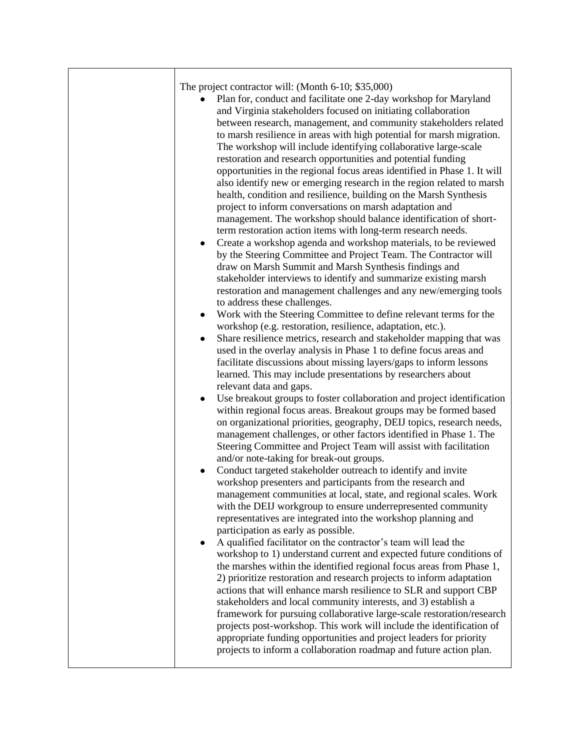| The project contractor will: (Month $6-10$ ; \$35,000)<br>Plan for, conduct and facilitate one 2-day workshop for Maryland<br>and Virginia stakeholders focused on initiating collaboration<br>between research, management, and community stakeholders related<br>to marsh resilience in areas with high potential for marsh migration.<br>The workshop will include identifying collaborative large-scale<br>restoration and research opportunities and potential funding<br>opportunities in the regional focus areas identified in Phase 1. It will<br>also identify new or emerging research in the region related to marsh<br>health, condition and resilience, building on the Marsh Synthesis<br>project to inform conversations on marsh adaptation and<br>management. The workshop should balance identification of short-<br>term restoration action items with long-term research needs.<br>Create a workshop agenda and workshop materials, to be reviewed<br>by the Steering Committee and Project Team. The Contractor will<br>draw on Marsh Summit and Marsh Synthesis findings and<br>stakeholder interviews to identify and summarize existing marsh<br>restoration and management challenges and any new/emerging tools<br>to address these challenges.<br>Work with the Steering Committee to define relevant terms for the<br>$\bullet$<br>workshop (e.g. restoration, resilience, adaptation, etc.).<br>Share resilience metrics, research and stakeholder mapping that was<br>$\bullet$<br>used in the overlay analysis in Phase 1 to define focus areas and<br>facilitate discussions about missing layers/gaps to inform lessons<br>learned. This may include presentations by researchers about |
|---------------------------------------------------------------------------------------------------------------------------------------------------------------------------------------------------------------------------------------------------------------------------------------------------------------------------------------------------------------------------------------------------------------------------------------------------------------------------------------------------------------------------------------------------------------------------------------------------------------------------------------------------------------------------------------------------------------------------------------------------------------------------------------------------------------------------------------------------------------------------------------------------------------------------------------------------------------------------------------------------------------------------------------------------------------------------------------------------------------------------------------------------------------------------------------------------------------------------------------------------------------------------------------------------------------------------------------------------------------------------------------------------------------------------------------------------------------------------------------------------------------------------------------------------------------------------------------------------------------------------------------------------------------------------------------------------------------------------|
| on organizational priorities, geography, DEIJ topics, research needs,<br>management challenges, or other factors identified in Phase 1. The<br>Steering Committee and Project Team will assist with facilitation<br>and/or note-taking for break-out groups.<br>Conduct targeted stakeholder outreach to identify and invite<br>$\bullet$<br>workshop presenters and participants from the research and<br>management communities at local, state, and regional scales. Work<br>with the DEIJ workgroup to ensure underrepresented community<br>representatives are integrated into the workshop planning and<br>participation as early as possible.<br>A qualified facilitator on the contractor's team will lead the<br>workshop to 1) understand current and expected future conditions of<br>the marshes within the identified regional focus areas from Phase 1,<br>2) prioritize restoration and research projects to inform adaptation<br>actions that will enhance marsh resilience to SLR and support CBP<br>stakeholders and local community interests, and 3) establish a<br>framework for pursuing collaborative large-scale restoration/research<br>projects post-workshop. This work will include the identification of<br>appropriate funding opportunities and project leaders for priority<br>projects to inform a collaboration roadmap and future action plan.                                                                                                                                                                                                                                                                                                                                         |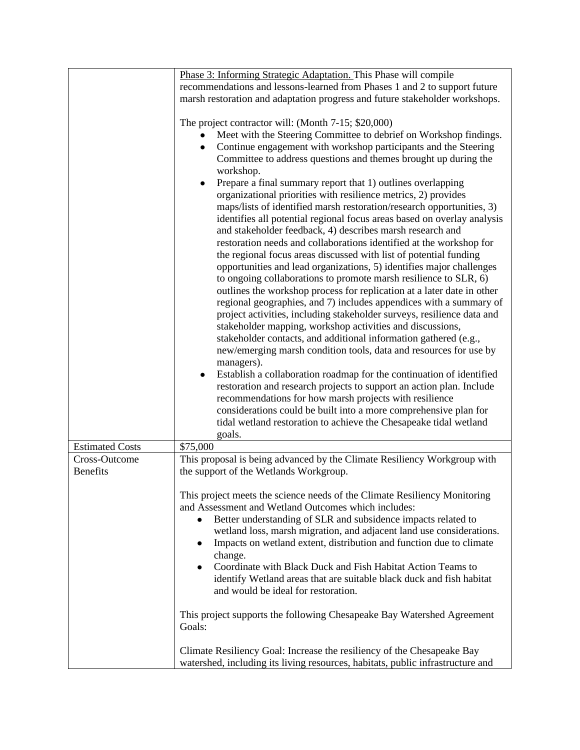|                        | Phase 3: Informing Strategic Adaptation. This Phase will compile                                                                                                                                                                                                                                                                                                                                                                                                                                                                                                                                                                                                                                                                                                                                                                                                                                                                                                                                                                                                                                                                                                                                                                                                                                                                                                                                                                                                                                                                                                                                                                                                                                                                    |  |  |
|------------------------|-------------------------------------------------------------------------------------------------------------------------------------------------------------------------------------------------------------------------------------------------------------------------------------------------------------------------------------------------------------------------------------------------------------------------------------------------------------------------------------------------------------------------------------------------------------------------------------------------------------------------------------------------------------------------------------------------------------------------------------------------------------------------------------------------------------------------------------------------------------------------------------------------------------------------------------------------------------------------------------------------------------------------------------------------------------------------------------------------------------------------------------------------------------------------------------------------------------------------------------------------------------------------------------------------------------------------------------------------------------------------------------------------------------------------------------------------------------------------------------------------------------------------------------------------------------------------------------------------------------------------------------------------------------------------------------------------------------------------------------|--|--|
|                        | recommendations and lessons-learned from Phases 1 and 2 to support future                                                                                                                                                                                                                                                                                                                                                                                                                                                                                                                                                                                                                                                                                                                                                                                                                                                                                                                                                                                                                                                                                                                                                                                                                                                                                                                                                                                                                                                                                                                                                                                                                                                           |  |  |
|                        | marsh restoration and adaptation progress and future stakeholder workshops.                                                                                                                                                                                                                                                                                                                                                                                                                                                                                                                                                                                                                                                                                                                                                                                                                                                                                                                                                                                                                                                                                                                                                                                                                                                                                                                                                                                                                                                                                                                                                                                                                                                         |  |  |
|                        |                                                                                                                                                                                                                                                                                                                                                                                                                                                                                                                                                                                                                                                                                                                                                                                                                                                                                                                                                                                                                                                                                                                                                                                                                                                                                                                                                                                                                                                                                                                                                                                                                                                                                                                                     |  |  |
|                        | The project contractor will: (Month 7-15; \$20,000)<br>Meet with the Steering Committee to debrief on Workshop findings.<br>Continue engagement with workshop participants and the Steering<br>Committee to address questions and themes brought up during the<br>workshop.<br>Prepare a final summary report that 1) outlines overlapping<br>$\bullet$<br>organizational priorities with resilience metrics, 2) provides<br>maps/lists of identified marsh restoration/research opportunities, 3)<br>identifies all potential regional focus areas based on overlay analysis<br>and stakeholder feedback, 4) describes marsh research and<br>restoration needs and collaborations identified at the workshop for<br>the regional focus areas discussed with list of potential funding<br>opportunities and lead organizations, 5) identifies major challenges<br>to ongoing collaborations to promote marsh resilience to SLR, 6)<br>outlines the workshop process for replication at a later date in other<br>regional geographies, and 7) includes appendices with a summary of<br>project activities, including stakeholder surveys, resilience data and<br>stakeholder mapping, workshop activities and discussions,<br>stakeholder contacts, and additional information gathered (e.g.,<br>new/emerging marsh condition tools, data and resources for use by<br>managers).<br>Establish a collaboration roadmap for the continuation of identified<br>restoration and research projects to support an action plan. Include<br>recommendations for how marsh projects with resilience<br>considerations could be built into a more comprehensive plan for<br>tidal wetland restoration to achieve the Chesapeake tidal wetland |  |  |
|                        | goals.                                                                                                                                                                                                                                                                                                                                                                                                                                                                                                                                                                                                                                                                                                                                                                                                                                                                                                                                                                                                                                                                                                                                                                                                                                                                                                                                                                                                                                                                                                                                                                                                                                                                                                                              |  |  |
| <b>Estimated Costs</b> | \$75,000                                                                                                                                                                                                                                                                                                                                                                                                                                                                                                                                                                                                                                                                                                                                                                                                                                                                                                                                                                                                                                                                                                                                                                                                                                                                                                                                                                                                                                                                                                                                                                                                                                                                                                                            |  |  |
| Cross-Outcome          | This proposal is being advanced by the Climate Resiliency Workgroup with                                                                                                                                                                                                                                                                                                                                                                                                                                                                                                                                                                                                                                                                                                                                                                                                                                                                                                                                                                                                                                                                                                                                                                                                                                                                                                                                                                                                                                                                                                                                                                                                                                                            |  |  |
| <b>Benefits</b>        | the support of the Wetlands Workgroup.                                                                                                                                                                                                                                                                                                                                                                                                                                                                                                                                                                                                                                                                                                                                                                                                                                                                                                                                                                                                                                                                                                                                                                                                                                                                                                                                                                                                                                                                                                                                                                                                                                                                                              |  |  |
|                        | This project meets the science needs of the Climate Resiliency Monitoring<br>and Assessment and Wetland Outcomes which includes:<br>Better understanding of SLR and subsidence impacts related to<br>$\bullet$<br>wetland loss, marsh migration, and adjacent land use considerations.<br>Impacts on wetland extent, distribution and function due to climate<br>$\bullet$<br>change.<br>Coordinate with Black Duck and Fish Habitat Action Teams to<br>$\bullet$<br>identify Wetland areas that are suitable black duck and fish habitat<br>and would be ideal for restoration.                                                                                                                                                                                                                                                                                                                                                                                                                                                                                                                                                                                                                                                                                                                                                                                                                                                                                                                                                                                                                                                                                                                                                    |  |  |
|                        | This project supports the following Chesapeake Bay Watershed Agreement<br>Goals:                                                                                                                                                                                                                                                                                                                                                                                                                                                                                                                                                                                                                                                                                                                                                                                                                                                                                                                                                                                                                                                                                                                                                                                                                                                                                                                                                                                                                                                                                                                                                                                                                                                    |  |  |
|                        | Climate Resiliency Goal: Increase the resiliency of the Chesapeake Bay<br>watershed, including its living resources, habitats, public infrastructure and                                                                                                                                                                                                                                                                                                                                                                                                                                                                                                                                                                                                                                                                                                                                                                                                                                                                                                                                                                                                                                                                                                                                                                                                                                                                                                                                                                                                                                                                                                                                                                            |  |  |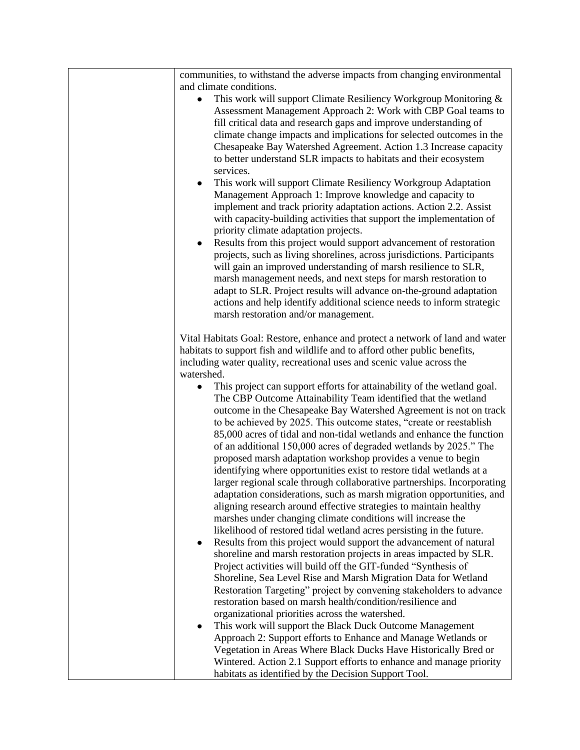| communities, to withstand the adverse impacts from changing environmental                                                                                                                                      |
|----------------------------------------------------------------------------------------------------------------------------------------------------------------------------------------------------------------|
| and climate conditions.                                                                                                                                                                                        |
| This work will support Climate Resiliency Workgroup Monitoring &<br>Assessment Management Approach 2: Work with CBP Goal teams to<br>fill critical data and research gaps and improve understanding of         |
| climate change impacts and implications for selected outcomes in the<br>Chesapeake Bay Watershed Agreement. Action 1.3 Increase capacity<br>to better understand SLR impacts to habitats and their ecosystem   |
| services.                                                                                                                                                                                                      |
| This work will support Climate Resiliency Workgroup Adaptation<br>$\bullet$<br>Management Approach 1: Improve knowledge and capacity to<br>implement and track priority adaptation actions. Action 2.2. Assist |
| with capacity-building activities that support the implementation of                                                                                                                                           |
| priority climate adaptation projects.                                                                                                                                                                          |
| Results from this project would support advancement of restoration<br>$\bullet$<br>projects, such as living shorelines, across jurisdictions. Participants                                                     |
| will gain an improved understanding of marsh resilience to SLR,                                                                                                                                                |
| marsh management needs, and next steps for marsh restoration to<br>adapt to SLR. Project results will advance on-the-ground adaptation                                                                         |
| actions and help identify additional science needs to inform strategic                                                                                                                                         |
| marsh restoration and/or management.                                                                                                                                                                           |
| Vital Habitats Goal: Restore, enhance and protect a network of land and water                                                                                                                                  |
| habitats to support fish and wildlife and to afford other public benefits,                                                                                                                                     |
| including water quality, recreational uses and scenic value across the                                                                                                                                         |
| watershed.                                                                                                                                                                                                     |
| This project can support efforts for attainability of the wetland goal.<br>$\bullet$<br>The CBP Outcome Attainability Team identified that the wetland                                                         |
| outcome in the Chesapeake Bay Watershed Agreement is not on track<br>to be achieved by 2025. This outcome states, "create or reestablish                                                                       |
| 85,000 acres of tidal and non-tidal wetlands and enhance the function<br>of an additional 150,000 acres of degraded wetlands by 2025." The                                                                     |
| proposed marsh adaptation workshop provides a venue to begin                                                                                                                                                   |
| identifying where opportunities exist to restore tidal wetlands at a                                                                                                                                           |
| larger regional scale through collaborative partnerships. Incorporating<br>adaptation considerations, such as marsh migration opportunities, and                                                               |
| aligning research around effective strategies to maintain healthy                                                                                                                                              |
| marshes under changing climate conditions will increase the                                                                                                                                                    |
| likelihood of restored tidal wetland acres persisting in the future.<br>Results from this project would support the advancement of natural<br>٠                                                                |
| shoreline and marsh restoration projects in areas impacted by SLR.                                                                                                                                             |
| Project activities will build off the GIT-funded "Synthesis of                                                                                                                                                 |
| Shoreline, Sea Level Rise and Marsh Migration Data for Wetland<br>Restoration Targeting" project by convening stakeholders to advance                                                                          |
| restoration based on marsh health/condition/resilience and                                                                                                                                                     |
| organizational priorities across the watershed.                                                                                                                                                                |
| This work will support the Black Duck Outcome Management                                                                                                                                                       |
| Approach 2: Support efforts to Enhance and Manage Wetlands or<br>Vegetation in Areas Where Black Ducks Have Historically Bred or                                                                               |
| Wintered. Action 2.1 Support efforts to enhance and manage priority                                                                                                                                            |
| habitats as identified by the Decision Support Tool.                                                                                                                                                           |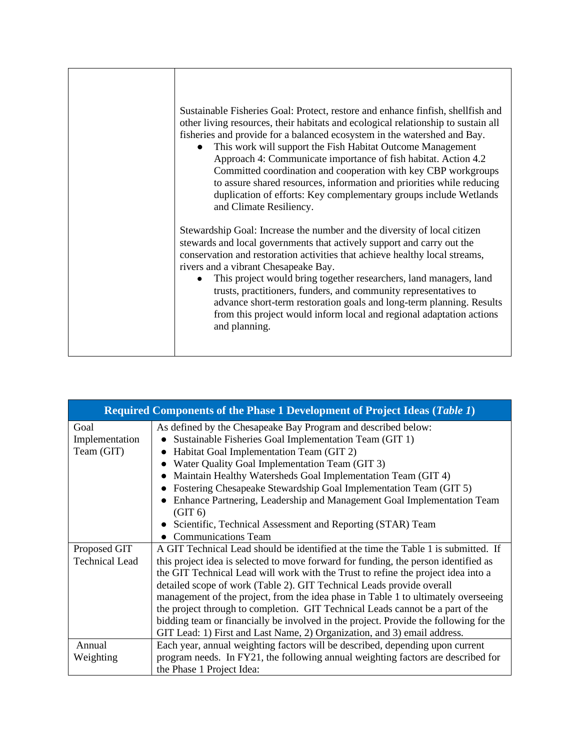| Sustainable Fisheries Goal: Protect, restore and enhance finfish, shellfish and<br>other living resources, their habitats and ecological relationship to sustain all<br>fisheries and provide for a balanced ecosystem in the watershed and Bay.<br>This work will support the Fish Habitat Outcome Management<br>$\bullet$<br>Approach 4: Communicate importance of fish habitat. Action 4.2<br>Committed coordination and cooperation with key CBP workgroups<br>to assure shared resources, information and priorities while reducing<br>duplication of efforts: Key complementary groups include Wetlands<br>and Climate Resiliency. |
|------------------------------------------------------------------------------------------------------------------------------------------------------------------------------------------------------------------------------------------------------------------------------------------------------------------------------------------------------------------------------------------------------------------------------------------------------------------------------------------------------------------------------------------------------------------------------------------------------------------------------------------|
| Stewardship Goal: Increase the number and the diversity of local citizen<br>stewards and local governments that actively support and carry out the<br>conservation and restoration activities that achieve healthy local streams,<br>rivers and a vibrant Chesapeake Bay.<br>This project would bring together researchers, land managers, land<br>$\bullet$<br>trusts, practitioners, funders, and community representatives to<br>advance short-term restoration goals and long-term planning. Results<br>from this project would inform local and regional adaptation actions<br>and planning.                                        |

|                       | <b>Required Components of the Phase 1 Development of Project Ideas (Table 1)</b>      |
|-----------------------|---------------------------------------------------------------------------------------|
| Goal                  | As defined by the Chesapeake Bay Program and described below:                         |
| Implementation        | Sustainable Fisheries Goal Implementation Team (GIT 1)                                |
| Team (GIT)            | Habitat Goal Implementation Team (GIT 2)                                              |
|                       | Water Quality Goal Implementation Team (GIT 3)                                        |
|                       | Maintain Healthy Watersheds Goal Implementation Team (GIT 4)                          |
|                       | Fostering Chesapeake Stewardship Goal Implementation Team (GIT 5)                     |
|                       | Enhance Partnering, Leadership and Management Goal Implementation Team                |
|                       | (GIT 6)                                                                               |
|                       | Scientific, Technical Assessment and Reporting (STAR) Team                            |
|                       | <b>Communications Team</b>                                                            |
| Proposed GIT          | A GIT Technical Lead should be identified at the time the Table 1 is submitted. If    |
| <b>Technical Lead</b> | this project idea is selected to move forward for funding, the person identified as   |
|                       | the GIT Technical Lead will work with the Trust to refine the project idea into a     |
|                       | detailed scope of work (Table 2). GIT Technical Leads provide overall                 |
|                       | management of the project, from the idea phase in Table 1 to ultimately overseeing    |
|                       | the project through to completion. GIT Technical Leads cannot be a part of the        |
|                       | bidding team or financially be involved in the project. Provide the following for the |
|                       | GIT Lead: 1) First and Last Name, 2) Organization, and 3) email address.              |
| Annual                | Each year, annual weighting factors will be described, depending upon current         |
| Weighting             | program needs. In FY21, the following annual weighting factors are described for      |
|                       | the Phase 1 Project Idea:                                                             |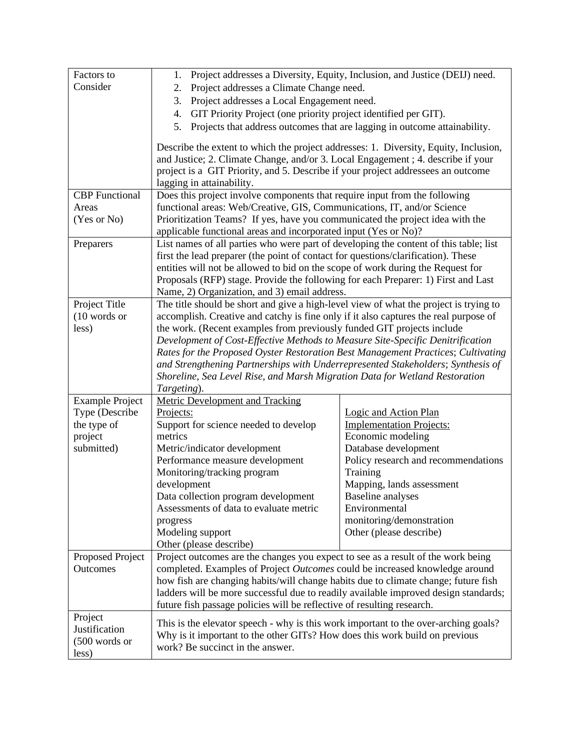| Factors to              | Project addresses a Diversity, Equity, Inclusion, and Justice (DEIJ) need.<br>1.                                                                                         |                                     |  |  |
|-------------------------|--------------------------------------------------------------------------------------------------------------------------------------------------------------------------|-------------------------------------|--|--|
| Consider                | Project addresses a Climate Change need.<br>2.                                                                                                                           |                                     |  |  |
|                         | Project addresses a Local Engagement need.<br>3.                                                                                                                         |                                     |  |  |
|                         | GIT Priority Project (one priority project identified per GIT).<br>4.                                                                                                    |                                     |  |  |
|                         | 5.<br>Projects that address outcomes that are lagging in outcome attainability.                                                                                          |                                     |  |  |
|                         |                                                                                                                                                                          |                                     |  |  |
|                         | Describe the extent to which the project addresses: 1. Diversity, Equity, Inclusion,<br>and Justice; 2. Climate Change, and/or 3. Local Engagement ; 4. describe if your |                                     |  |  |
|                         | project is a GIT Priority, and 5. Describe if your project addressees an outcome                                                                                         |                                     |  |  |
|                         | lagging in attainability.                                                                                                                                                |                                     |  |  |
| <b>CBP</b> Functional   | Does this project involve components that require input from the following                                                                                               |                                     |  |  |
| Areas                   | functional areas: Web/Creative, GIS, Communications, IT, and/or Science                                                                                                  |                                     |  |  |
| (Yes or No)             | Prioritization Teams? If yes, have you communicated the project idea with the                                                                                            |                                     |  |  |
|                         | applicable functional areas and incorporated input (Yes or No)?                                                                                                          |                                     |  |  |
| Preparers               | List names of all parties who were part of developing the content of this table; list                                                                                    |                                     |  |  |
|                         | first the lead preparer (the point of contact for questions/clarification). These                                                                                        |                                     |  |  |
|                         | entities will not be allowed to bid on the scope of work during the Request for                                                                                          |                                     |  |  |
|                         | Proposals (RFP) stage. Provide the following for each Preparer: 1) First and Last                                                                                        |                                     |  |  |
|                         | Name, 2) Organization, and 3) email address.                                                                                                                             |                                     |  |  |
| Project Title           | The title should be short and give a high-level view of what the project is trying to                                                                                    |                                     |  |  |
| $(10$ words or<br>less) | accomplish. Creative and catchy is fine only if it also captures the real purpose of                                                                                     |                                     |  |  |
|                         | the work. (Recent examples from previously funded GIT projects include                                                                                                   |                                     |  |  |
|                         | Development of Cost-Effective Methods to Measure Site-Specific Denitrification                                                                                           |                                     |  |  |
|                         | Rates for the Proposed Oyster Restoration Best Management Practices; Cultivating<br>and Strengthening Partnerships with Underrepresented Stakeholders; Synthesis of      |                                     |  |  |
|                         | Shoreline, Sea Level Rise, and Marsh Migration Data for Wetland Restoration                                                                                              |                                     |  |  |
|                         | Targeting).                                                                                                                                                              |                                     |  |  |
| <b>Example Project</b>  | <b>Metric Development and Tracking</b>                                                                                                                                   |                                     |  |  |
| Type (Describe          | Projects:                                                                                                                                                                | Logic and Action Plan               |  |  |
| the type of             | Support for science needed to develop                                                                                                                                    | <b>Implementation Projects:</b>     |  |  |
| project                 | metrics                                                                                                                                                                  | Economic modeling                   |  |  |
| submitted)              | Metric/indicator development                                                                                                                                             | Database development                |  |  |
|                         | Performance measure development                                                                                                                                          | Policy research and recommendations |  |  |
|                         | Monitoring/tracking program                                                                                                                                              | Training                            |  |  |
|                         | development                                                                                                                                                              | Mapping, lands assessment           |  |  |
|                         | Data collection program development                                                                                                                                      | Baseline analyses                   |  |  |
|                         | Assessments of data to evaluate metric                                                                                                                                   | Environmental                       |  |  |
|                         | progress                                                                                                                                                                 | monitoring/demonstration            |  |  |
|                         | Modeling support                                                                                                                                                         | Other (please describe)             |  |  |
|                         | Other (please describe)                                                                                                                                                  |                                     |  |  |
| Proposed Project        | Project outcomes are the changes you expect to see as a result of the work being                                                                                         |                                     |  |  |
| Outcomes                | completed. Examples of Project Outcomes could be increased knowledge around                                                                                              |                                     |  |  |
|                         | how fish are changing habits/will change habits due to climate change; future fish                                                                                       |                                     |  |  |
|                         | ladders will be more successful due to readily available improved design standards;<br>future fish passage policies will be reflective of resulting research.            |                                     |  |  |
| Project                 |                                                                                                                                                                          |                                     |  |  |
| Justification           | This is the elevator speech - why is this work important to the over-arching goals?                                                                                      |                                     |  |  |
| $(500$ words or         | Why is it important to the other GITs? How does this work build on previous                                                                                              |                                     |  |  |
| less)                   | work? Be succinct in the answer.                                                                                                                                         |                                     |  |  |